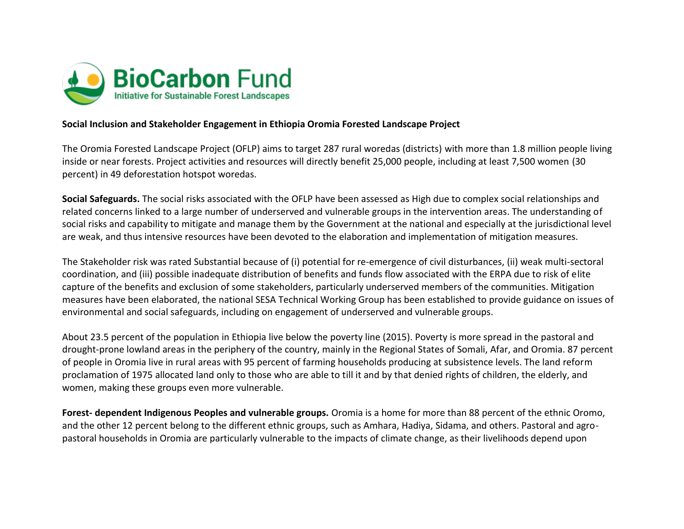

## **Social Inclusion and Stakeholder Engagement in Ethiopia Oromia Forested Landscape Project**

The Oromia Forested Landscape Project (OFLP) aims to target 287 rural woredas (districts) with more than 1.8 million people living inside or near forests. Project activities and resources will directly benefit 25,000 people, including at least 7,500 women (30 percent) in 49 deforestation hotspot woredas.

**Social Safeguards.** The social risks associated with the OFLP have been assessed as High due to complex social relationships and related concerns linked to a large number of underserved and vulnerable groups in the intervention areas. The understanding of social risks and capability to mitigate and manage them by the Government at the national and especially at the jurisdictional level are weak, and thus intensive resources have been devoted to the elaboration and implementation of mitigation measures.

The Stakeholder risk was rated Substantial because of (i) potential for re-emergence of civil disturbances, (ii) weak multi-sectoral coordination, and (iii) possible inadequate distribution of benefits and funds flow associated with the ERPA due to risk of elite capture of the benefits and exclusion of some stakeholders, particularly underserved members of the communities. Mitigation measures have been elaborated, the national SESA Technical Working Group has been established to provide guidance on issues of environmental and social safeguards, including on engagement of underserved and vulnerable groups.

About 23.5 percent of the population in Ethiopia live below the poverty line (2015). Poverty is more spread in the pastoral and drought-prone lowland areas in the periphery of the country, mainly in the Regional States of Somali, Afar, and Oromia. 87 percent of people in Oromia live in rural areas with 95 percent of farming households producing at subsistence levels. The land reform proclamation of 1975 allocated land only to those who are able to till it and by that denied rights of children, the elderly, and women, making these groups even more vulnerable.

**Forest- dependent Indigenous Peoples and vulnerable groups.** Oromia is a home for more than 88 percent of the ethnic Oromo, and the other 12 percent belong to the different ethnic groups, such as Amhara, Hadiya, Sidama, and others. Pastoral and agropastoral households in Oromia are particularly vulnerable to the impacts of climate change, as their livelihoods depend upon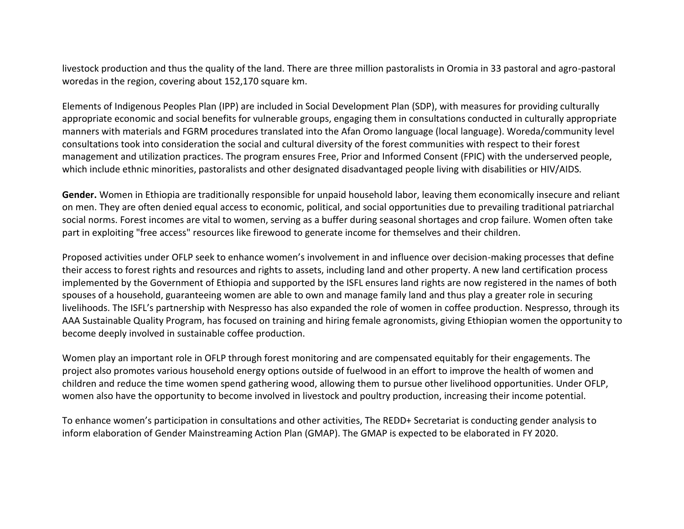livestock production and thus the quality of the land. There are three million pastoralists in Oromia in 33 pastoral and agro-pastoral woredas in the region, covering about 152,170 square km.

Elements of Indigenous Peoples Plan (IPP) are included in Social Development Plan (SDP), with measures for providing culturally appropriate economic and social benefits for vulnerable groups, engaging them in consultations conducted in culturally appropriate manners with materials and FGRM procedures translated into the Afan Oromo language (local language). Woreda/community level consultations took into consideration the social and cultural diversity of the forest communities with respect to their forest management and utilization practices. The program ensures Free, Prior and Informed Consent (FPIC) with the underserved people, which include ethnic minorities, pastoralists and other designated disadvantaged people living with disabilities or HIV/AIDS.

**Gender.** Women in Ethiopia are traditionally responsible for unpaid household labor, leaving them economically insecure and reliant on men. They are often denied equal access to economic, political, and social opportunities due to prevailing traditional patriarchal social norms. Forest incomes are vital to women, serving as a buffer during seasonal shortages and crop failure. Women often take part in exploiting "free access" resources like firewood to generate income for themselves and their children.

Proposed activities under OFLP seek to enhance women's involvement in and influence over decision-making processes that define their access to forest rights and resources and rights to assets, including land and other property. A new land certification process implemented by the Government of Ethiopia and supported by the ISFL ensures land rights are now registered in the names of both spouses of a household, guaranteeing women are able to own and manage family land and thus play a greater role in securing livelihoods. The ISFL's partnership with Nespresso has also expanded the role of women in coffee production. Nespresso, through its AAA Sustainable Quality Program, has focused on training and hiring female agronomists, giving Ethiopian women the opportunity to become deeply involved in sustainable coffee production.

Women play an important role in OFLP through forest monitoring and are compensated equitably for their engagements. The project also promotes various household energy options outside of fuelwood in an effort to improve the health of women and children and reduce the time women spend gathering wood, allowing them to pursue other livelihood opportunities. Under OFLP, women also have the opportunity to become involved in livestock and poultry production, increasing their income potential.

To enhance women's participation in consultations and other activities, The REDD+ Secretariat is conducting gender analysis to inform elaboration of Gender Mainstreaming Action Plan (GMAP). The GMAP is expected to be elaborated in FY 2020.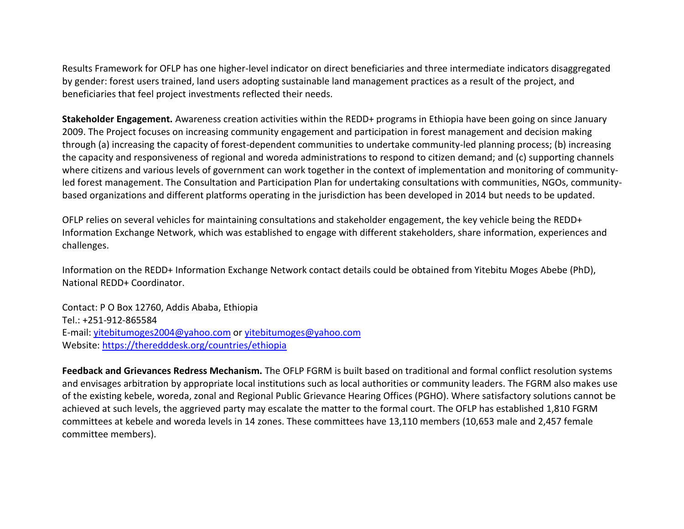Results Framework for OFLP has one higher-level indicator on direct beneficiaries and three intermediate indicators disaggregated by gender: forest users trained, land users adopting sustainable land management practices as a result of the project, and beneficiaries that feel project investments reflected their needs.

**Stakeholder Engagement.** Awareness creation activities within the REDD+ programs in Ethiopia have been going on since January 2009. The Project focuses on increasing community engagement and participation in forest management and decision making through (a) increasing the capacity of forest-dependent communities to undertake community-led planning process; (b) increasing the capacity and responsiveness of regional and woreda administrations to respond to citizen demand; and (c) supporting channels where citizens and various levels of government can work together in the context of implementation and monitoring of communityled forest management. The Consultation and Participation Plan for undertaking consultations with communities, NGOs, communitybased organizations and different platforms operating in the jurisdiction has been developed in 2014 but needs to be updated.

OFLP relies on several vehicles for maintaining consultations and stakeholder engagement, the key vehicle being the REDD+ Information Exchange Network, which was established to engage with different stakeholders, share information, experiences and challenges.

Information on the REDD+ Information Exchange Network contact details could be obtained from Yitebitu Moges Abebe (PhD), National REDD+ Coordinator.

Contact: P O Box 12760, Addis Ababa, Ethiopia Tel.: +251-912-865584 E-mail: [yitebitumoges2004@yahoo.com](mailto:yitebitumoges2004@yahoo.com) or [yitebitumoges@yahoo.com](mailto:yitebitumoges@yahoo.com) Website:<https://theredddesk.org/countries/ethiopia>

**Feedback and Grievances Redress Mechanism.** The OFLP FGRM is built based on traditional and formal conflict resolution systems and envisages arbitration by appropriate local institutions such as local authorities or community leaders. The FGRM also makes use of the existing kebele, woreda, zonal and Regional Public Grievance Hearing Offices (PGHO). Where satisfactory solutions cannot be achieved at such levels, the aggrieved party may escalate the matter to the formal court. The OFLP has established 1,810 FGRM committees at kebele and woreda levels in 14 zones. These committees have 13,110 members (10,653 male and 2,457 female committee members).